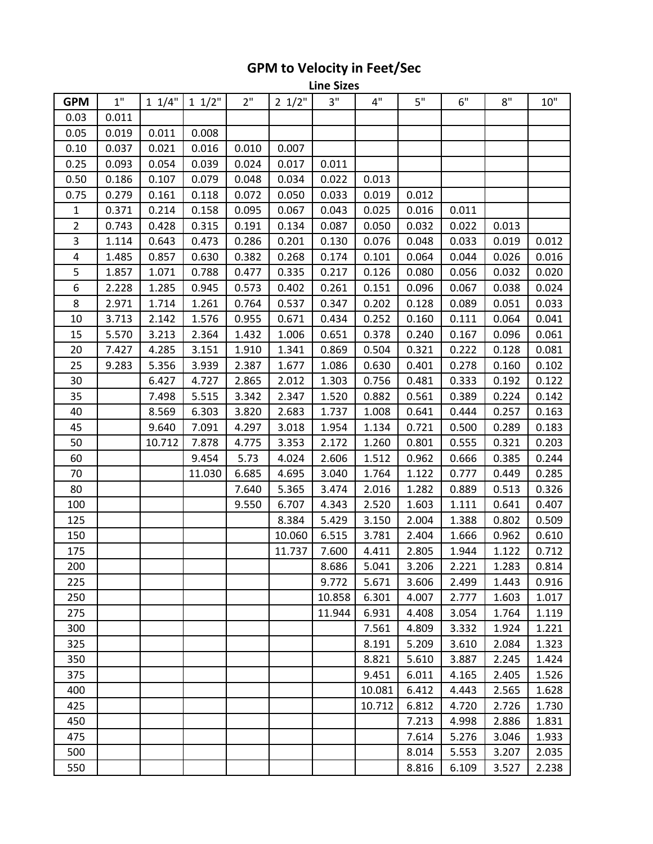## **GPM to Velocity in Feet/Sec**

**Line Sizes**

| <b>GPM</b>     | $1"$  | $1 \frac{1}{4}$ | $1 \frac{1}{2}$ | 2"    | $2 \frac{1}{2}$ | 3"     | 4"     | 5"    | 6"    | 8"    | 10"   |
|----------------|-------|-----------------|-----------------|-------|-----------------|--------|--------|-------|-------|-------|-------|
| 0.03           | 0.011 |                 |                 |       |                 |        |        |       |       |       |       |
| 0.05           | 0.019 | 0.011           | 0.008           |       |                 |        |        |       |       |       |       |
| 0.10           | 0.037 | 0.021           | 0.016           | 0.010 | 0.007           |        |        |       |       |       |       |
| 0.25           | 0.093 | 0.054           | 0.039           | 0.024 | 0.017           | 0.011  |        |       |       |       |       |
| 0.50           | 0.186 | 0.107           | 0.079           | 0.048 | 0.034           | 0.022  | 0.013  |       |       |       |       |
| 0.75           | 0.279 | 0.161           | 0.118           | 0.072 | 0.050           | 0.033  | 0.019  | 0.012 |       |       |       |
| $\mathbf 1$    | 0.371 | 0.214           | 0.158           | 0.095 | 0.067           | 0.043  | 0.025  | 0.016 | 0.011 |       |       |
| $\overline{2}$ | 0.743 | 0.428           | 0.315           | 0.191 | 0.134           | 0.087  | 0.050  | 0.032 | 0.022 | 0.013 |       |
| 3              | 1.114 | 0.643           | 0.473           | 0.286 | 0.201           | 0.130  | 0.076  | 0.048 | 0.033 | 0.019 | 0.012 |
| 4              | 1.485 | 0.857           | 0.630           | 0.382 | 0.268           | 0.174  | 0.101  | 0.064 | 0.044 | 0.026 | 0.016 |
| 5              | 1.857 | 1.071           | 0.788           | 0.477 | 0.335           | 0.217  | 0.126  | 0.080 | 0.056 | 0.032 | 0.020 |
| 6              | 2.228 | 1.285           | 0.945           | 0.573 | 0.402           | 0.261  | 0.151  | 0.096 | 0.067 | 0.038 | 0.024 |
| 8              | 2.971 | 1.714           | 1.261           | 0.764 | 0.537           | 0.347  | 0.202  | 0.128 | 0.089 | 0.051 | 0.033 |
| 10             | 3.713 | 2.142           | 1.576           | 0.955 | 0.671           | 0.434  | 0.252  | 0.160 | 0.111 | 0.064 | 0.041 |
| 15             | 5.570 | 3.213           | 2.364           | 1.432 | 1.006           | 0.651  | 0.378  | 0.240 | 0.167 | 0.096 | 0.061 |
| 20             | 7.427 | 4.285           | 3.151           | 1.910 | 1.341           | 0.869  | 0.504  | 0.321 | 0.222 | 0.128 | 0.081 |
| 25             | 9.283 | 5.356           | 3.939           | 2.387 | 1.677           | 1.086  | 0.630  | 0.401 | 0.278 | 0.160 | 0.102 |
| 30             |       | 6.427           | 4.727           | 2.865 | 2.012           | 1.303  | 0.756  | 0.481 | 0.333 | 0.192 | 0.122 |
| 35             |       | 7.498           | 5.515           | 3.342 | 2.347           | 1.520  | 0.882  | 0.561 | 0.389 | 0.224 | 0.142 |
| 40             |       | 8.569           | 6.303           | 3.820 | 2.683           | 1.737  | 1.008  | 0.641 | 0.444 | 0.257 | 0.163 |
| 45             |       | 9.640           | 7.091           | 4.297 | 3.018           | 1.954  | 1.134  | 0.721 | 0.500 | 0.289 | 0.183 |
| 50             |       | 10.712          | 7.878           | 4.775 | 3.353           | 2.172  | 1.260  | 0.801 | 0.555 | 0.321 | 0.203 |
| 60             |       |                 | 9.454           | 5.73  | 4.024           | 2.606  | 1.512  | 0.962 | 0.666 | 0.385 | 0.244 |
| 70             |       |                 | 11.030          | 6.685 | 4.695           | 3.040  | 1.764  | 1.122 | 0.777 | 0.449 | 0.285 |
| 80             |       |                 |                 | 7.640 | 5.365           | 3.474  | 2.016  | 1.282 | 0.889 | 0.513 | 0.326 |
| 100            |       |                 |                 | 9.550 | 6.707           | 4.343  | 2.520  | 1.603 | 1.111 | 0.641 | 0.407 |
| 125            |       |                 |                 |       | 8.384           | 5.429  | 3.150  | 2.004 | 1.388 | 0.802 | 0.509 |
| 150            |       |                 |                 |       | 10.060          | 6.515  | 3.781  | 2.404 | 1.666 | 0.962 | 0.610 |
| 175            |       |                 |                 |       | 11.737          | 7.600  | 4.411  | 2.805 | 1.944 | 1.122 | 0.712 |
| 200            |       |                 |                 |       |                 | 8.686  | 5.041  | 3.206 | 2.221 | 1.283 | 0.814 |
| 225            |       |                 |                 |       |                 | 9.772  | 5.671  | 3.606 | 2.499 | 1.443 | 0.916 |
| 250            |       |                 |                 |       |                 | 10.858 | 6.301  | 4.007 | 2.777 | 1.603 | 1.017 |
| 275            |       |                 |                 |       |                 | 11.944 | 6.931  | 4.408 | 3.054 | 1.764 | 1.119 |
| 300            |       |                 |                 |       |                 |        | 7.561  | 4.809 | 3.332 | 1.924 | 1.221 |
| 325            |       |                 |                 |       |                 |        | 8.191  | 5.209 | 3.610 | 2.084 | 1.323 |
| 350            |       |                 |                 |       |                 |        | 8.821  | 5.610 | 3.887 | 2.245 | 1.424 |
| 375            |       |                 |                 |       |                 |        | 9.451  | 6.011 | 4.165 | 2.405 | 1.526 |
| 400            |       |                 |                 |       |                 |        | 10.081 | 6.412 | 4.443 | 2.565 | 1.628 |
| 425            |       |                 |                 |       |                 |        | 10.712 | 6.812 | 4.720 | 2.726 | 1.730 |
| 450            |       |                 |                 |       |                 |        |        | 7.213 | 4.998 | 2.886 | 1.831 |
| 475            |       |                 |                 |       |                 |        |        | 7.614 | 5.276 | 3.046 | 1.933 |
| 500            |       |                 |                 |       |                 |        |        | 8.014 | 5.553 | 3.207 | 2.035 |
| 550            |       |                 |                 |       |                 |        |        | 8.816 | 6.109 | 3.527 | 2.238 |